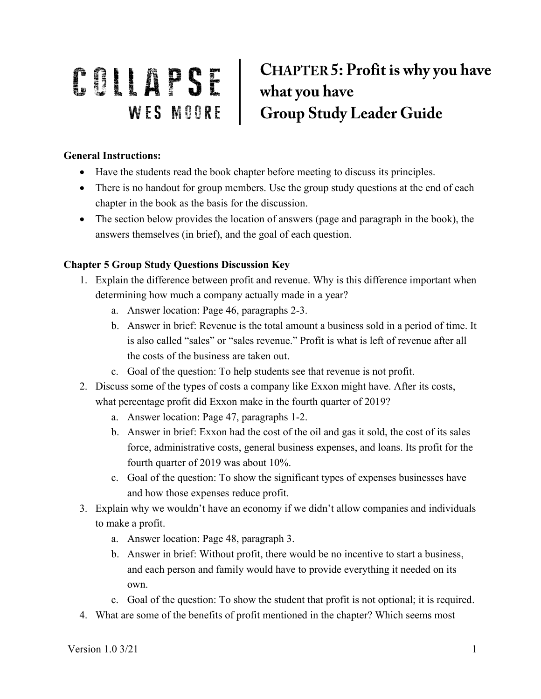## **CHAPTER 5: Profit is why you have** COLLAPSE CHAPTER 5: Profit is why you have<br>WES MOORE Group Study Leader Guide

## **General Instructions:**

- Have the students read the book chapter before meeting to discuss its principles.
- There is no handout for group members. Use the group study questions at the end of each chapter in the book as the basis for the discussion.
- The section below provides the location of answers (page and paragraph in the book), the answers themselves (in brief), and the goal of each question.

## **Chapter 5 Group Study Questions Discussion Key**

- 1. Explain the difference between profit and revenue. Why is this difference important when determining how much a company actually made in a year?
	- a. Answer location: Page 46, paragraphs 2-3.
	- b. Answer in brief: Revenue is the total amount a business sold in a period of time. It is also called "sales" or "sales revenue." Profit is what is left of revenue after all the costs of the business are taken out.
	- c. Goal of the question: To help students see that revenue is not profit.
- 2. Discuss some of the types of costs a company like Exxon might have. After its costs, what percentage profit did Exxon make in the fourth quarter of 2019?
	- a. Answer location: Page 47, paragraphs 1-2.
	- b. Answer in brief: Exxon had the cost of the oil and gas it sold, the cost of its sales force, administrative costs, general business expenses, and loans. Its profit for the fourth quarter of 2019 was about 10%.
	- c. Goal of the question: To show the significant types of expenses businesses have and how those expenses reduce profit.
- 3. Explain why we wouldn't have an economy if we didn't allow companies and individuals to make a profit.
	- a. Answer location: Page 48, paragraph 3.
	- b. Answer in brief: Without profit, there would be no incentive to start a business, and each person and family would have to provide everything it needed on its own.
	- c. Goal of the question: To show the student that profit is not optional; it is required.
- 4. What are some of the benefits of profit mentioned in the chapter? Which seems most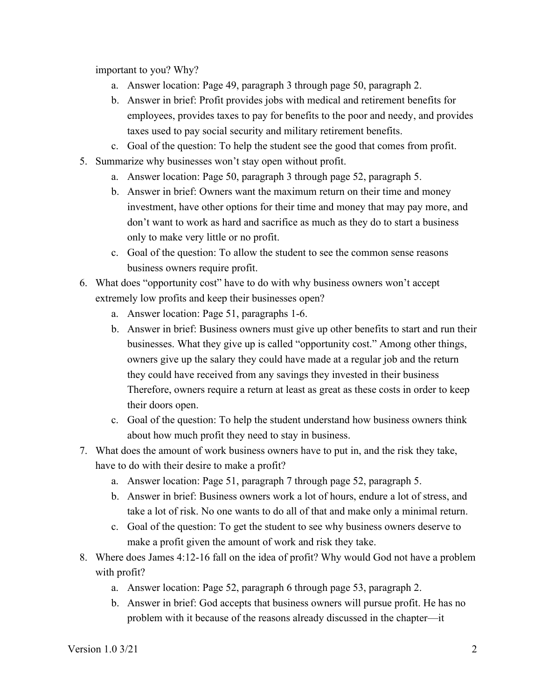important to you? Why?

- a. Answer location: Page 49, paragraph 3 through page 50, paragraph 2.
- b. Answer in brief: Profit provides jobs with medical and retirement benefits for employees, provides taxes to pay for benefits to the poor and needy, and provides taxes used to pay social security and military retirement benefits.
- c. Goal of the question: To help the student see the good that comes from profit.
- 5. Summarize why businesses won't stay open without profit.
	- a. Answer location: Page 50, paragraph 3 through page 52, paragraph 5.
	- b. Answer in brief: Owners want the maximum return on their time and money investment, have other options for their time and money that may pay more, and don't want to work as hard and sacrifice as much as they do to start a business only to make very little or no profit.
	- c. Goal of the question: To allow the student to see the common sense reasons business owners require profit.
- 6. What does "opportunity cost" have to do with why business owners won't accept extremely low profits and keep their businesses open?
	- a. Answer location: Page 51, paragraphs 1-6.
	- b. Answer in brief: Business owners must give up other benefits to start and run their businesses. What they give up is called "opportunity cost." Among other things, owners give up the salary they could have made at a regular job and the return they could have received from any savings they invested in their business Therefore, owners require a return at least as great as these costs in order to keep their doors open.
	- c. Goal of the question: To help the student understand how business owners think about how much profit they need to stay in business.
- 7. What does the amount of work business owners have to put in, and the risk they take, have to do with their desire to make a profit?
	- a. Answer location: Page 51, paragraph 7 through page 52, paragraph 5.
	- b. Answer in brief: Business owners work a lot of hours, endure a lot of stress, and take a lot of risk. No one wants to do all of that and make only a minimal return.
	- c. Goal of the question: To get the student to see why business owners deserve to make a profit given the amount of work and risk they take.
- 8. Where does James 4:12-16 fall on the idea of profit? Why would God not have a problem with profit?
	- a. Answer location: Page 52, paragraph 6 through page 53, paragraph 2.
	- b. Answer in brief: God accepts that business owners will pursue profit. He has no problem with it because of the reasons already discussed in the chapter—it